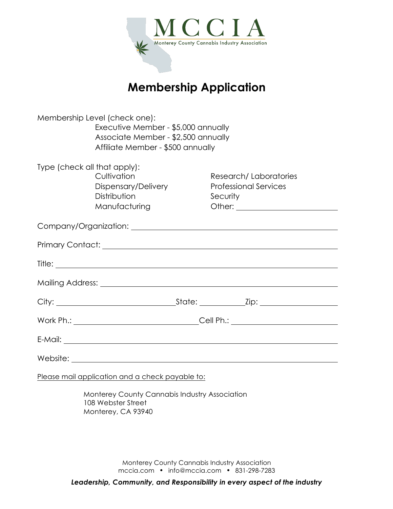

# **Membership Application**

| Membership Level (check one):<br>Executive Member - \$5,000 annually<br>Associate Member - \$2,500 annually<br>Affiliate Member - \$500 annually |                                                                     |                                                                   |
|--------------------------------------------------------------------------------------------------------------------------------------------------|---------------------------------------------------------------------|-------------------------------------------------------------------|
| Type (check all that apply):                                                                                                                     | Cultivation<br>Dispensary/Delivery<br>Distribution<br>Manufacturing | Research/Laboratories<br><b>Professional Services</b><br>Security |
|                                                                                                                                                  |                                                                     |                                                                   |
|                                                                                                                                                  |                                                                     |                                                                   |
|                                                                                                                                                  |                                                                     |                                                                   |
|                                                                                                                                                  |                                                                     |                                                                   |
|                                                                                                                                                  |                                                                     |                                                                   |
|                                                                                                                                                  |                                                                     |                                                                   |
|                                                                                                                                                  |                                                                     |                                                                   |
|                                                                                                                                                  |                                                                     |                                                                   |

Please mail application and a check payable to:

Monterey County Cannabis Industry Association 108 Webster Street Monterey, CA 93940

> Monterey County Cannabis Industry Association mccia.com • info@mccia.com • 831-298-7283

*Leadership, Community, and Responsibility in every aspect of the industry*